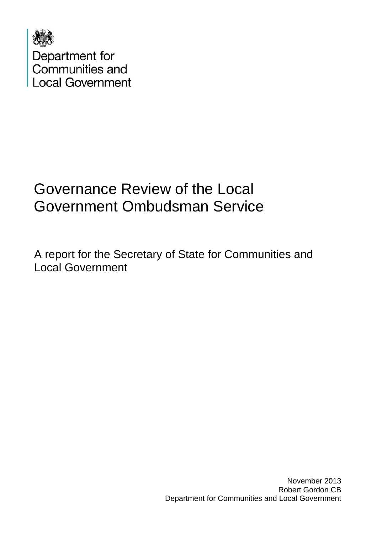

# Governance Review of the Local Government Ombudsman Service

A report for the Secretary of State for Communities and Local Government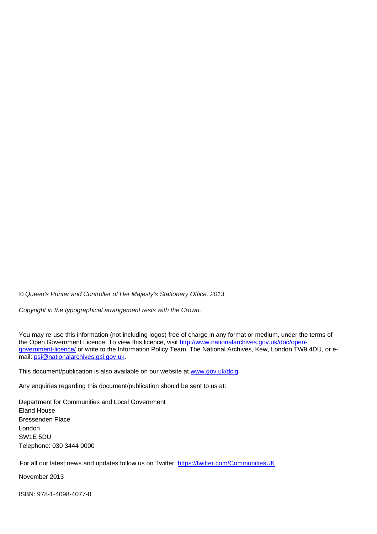*© Queen's Printer and Controller of Her Majesty's Stationery Office, 2013* 

*Copyright in the typographical arrangement rests with the Crown.*

You may re-use this information (not including logos) free of charge in any format or medium, under the terms of the Open Government Licence. To view this licence, visit [http://www.nationalarchives.gov.uk/doc/open](http://www.nationalarchives.gov.uk/doc/open-government-licence/)[government-licence/](http://www.nationalarchives.gov.uk/doc/open-government-licence/) or write to the Information Policy Team, The National Archives, Kew, London TW9 4DU, or email: [psi@nationalarchives.gsi.gov.uk.](mailto:psi@nationalarchives.gsi.gov.uk)

This document/publication is also available on our website at [www.gov.uk/dclg](http://www.gov.uk/dclg)

Any enquiries regarding this document/publication should be sent to us at:

Department for Communities and Local Government Eland House Bressenden Place London SW1E 5DU Telephone: 030 3444 0000

For all our latest news and updates follow us on Twitter: https://twitter.com/CommunitiesUK

November 2013

ISBN: 978-1-4098-4077-0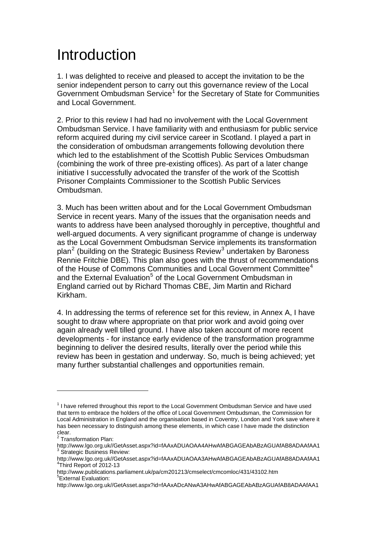## Introduction

1. I was delighted to receive and pleased to accept the invitation to be the senior independent person to carry out this governance review of the Local Government Ombudsman Service<sup>[1](#page-2-0)</sup> for the Secretary of State for Communities and Local Government.

2. Prior to this review I had had no involvement with the Local Government Ombudsman Service. I have familiarity with and enthusiasm for public service reform acquired during my civil service career in Scotland. I played a part in the consideration of ombudsman arrangements following devolution there which led to the establishment of the Scottish Public Services Ombudsman (combining the work of three pre-existing offices). As part of a later change initiative I successfully advocated the transfer of the work of the Scottish Prisoner Complaints Commissioner to the Scottish Public Services Ombudsman.

3. Much has been written about and for the Local Government Ombudsman Service in recent years. Many of the issues that the organisation needs and wants to address have been analysed thoroughly in perceptive, thoughtful and well-arqued documents. A very significant programme of change is underway as the Local Government Ombudsman Service implements its transformation plan<sup>[2](#page-2-1)</sup> (building on the Strategic Business Review<sup>[3](#page-2-2)</sup> undertaken by Baroness Rennie Fritchie DBE). This plan also goes with the thrust of recommendations of the House of Commons Communities and Local Government Committee<sup>[4](#page-2-3)</sup> and the External Evaluation<sup>[5](#page-2-4)</sup> of the Local Government Ombudsman in England carried out by Richard Thomas CBE, Jim Martin and Richard Kirkham.

4. In addressing the terms of reference set for this review, in Annex A, I have sought to draw where appropriate on that prior work and avoid going over again already well tilled ground. I have also taken account of more recent developments - for instance early evidence of the transformation programme beginning to deliver the desired results, literally over the period while this review has been in gestation and underway. So, much is being achieved; yet many further substantial challenges and opportunities remain.

<span id="page-2-0"></span> $1$  I have referred throughout this report to the Local Government Ombudsman Service and have used that term to embrace the holders of the office of Local Government Ombudsman, the Commission for Local Administration in England and the organisation based in Coventry, London and York save where it has been necessary to distinguish among these elements, in which case I have made the distinction

clear.<br><sup>2</sup> Transformation Plan:

<span id="page-2-1"></span>http://www.lgo.org.uk//GetAsset.aspx?id=fAAxADUAOAA4AHwAfABGAGEAbABzAGUAfAB8ADAAfAA1<br><sup>3</sup> Strategic Business Review:

<span id="page-2-3"></span><span id="page-2-2"></span>http://www.lgo.org.uk//GetAsset.aspx?id=fAAxADUAOAA3AHwAfABGAGEAbABzAGUAfAB8ADAAfAA1 4 Third Report of 2012-13

http://www.publications.parliament.uk/pa/cm201213/cmselect/cmcomloc/431/43102.htm<br><sup>5</sup>External Evaluation:

<span id="page-2-4"></span>http://www.lgo.org.uk//GetAsset.aspx?id=fAAxADcANwA3AHwAfABGAGEAbABzAGUAfAB8ADAAfAA1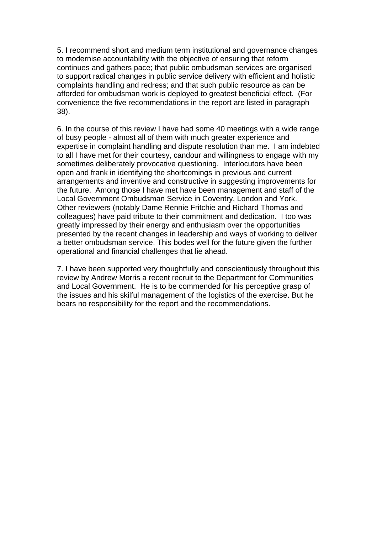5. I recommend short and medium term institutional and governance changes to modernise accountability with the objective of ensuring that reform continues and gathers pace; that public ombudsman services are organised to support radical changes in public service delivery with efficient and holistic complaints handling and redress; and that such public resource as can be afforded for ombudsman work is deployed to greatest beneficial effect. (For convenience the five recommendations in the report are listed in paragraph 38).

6. In the course of this review I have had some 40 meetings with a wide range of busy people - almost all of them with much greater experience and expertise in complaint handling and dispute resolution than me. I am indebted to all I have met for their courtesy, candour and willingness to engage with my sometimes deliberately provocative questioning. Interlocutors have been open and frank in identifying the shortcomings in previous and current arrangements and inventive and constructive in suggesting improvements for the future. Among those I have met have been management and staff of the Local Government Ombudsman Service in Coventry, London and York. Other reviewers (notably Dame Rennie Fritchie and Richard Thomas and colleagues) have paid tribute to their commitment and dedication. I too was greatly impressed by their energy and enthusiasm over the opportunities presented by the recent changes in leadership and ways of working to deliver a better ombudsman service. This bodes well for the future given the further operational and financial challenges that lie ahead.

7. I have been supported very thoughtfully and conscientiously throughout this review by Andrew Morris a recent recruit to the Department for Communities and Local Government. He is to be commended for his perceptive grasp of the issues and his skilful management of the logistics of the exercise. But he bears no responsibility for the report and the recommendations.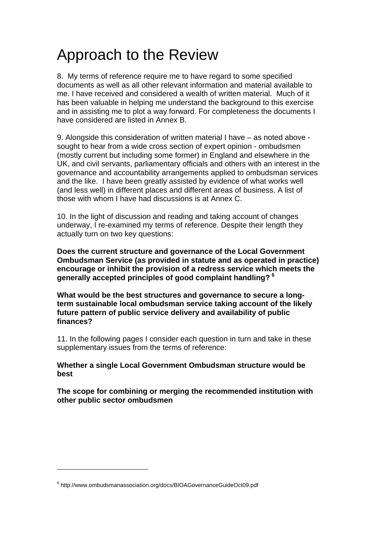# <span id="page-4-0"></span>Approach to the Review

8. My terms of reference require me to have regard to some specified documents as well as all other relevant information and material available to me. I have received and considered a wealth of written material. Much of it has been valuable in helping me understand the background to this exercise and in assisting me to plot a way forward. For completeness the documents I have considered are listed in Annex B.

9. Alongside this consideration of written material I have – as noted above sought to hear from a wide cross section of expert opinion - ombudsmen (mostly current but including some former) in England and elsewhere in the UK, and civil servants, parliamentary officials and others with an interest in the governance and accountability arrangements applied to ombudsman services and the like. I have been greatly assisted by evidence of what works well (and less well) in different places and different areas of business. A list of those with whom I have had discussions is at Annex C.

10. In the light of discussion and reading and taking account of changes underway, I re-examined my terms of reference. Despite their length they actually turn on two key questions:

**Does the current structure and governance of the Local Government Ombudsman Service (as provided in statute and as operated in practice) encourage or inhibit the provision of a redress service which meets the generally accepted principles of good complaint handling? [6](#page-4-0)**

**What would be the best structures and governance to secure a longterm sustainable local ombudsman service taking account of the likely future pattern of public service delivery and availability of public finances?** 

11. In the following pages I consider each question in turn and take in these supplementary issues from the terms of reference:

### **Whether a single Local Government Ombudsman structure would be best**

**The scope for combining or merging the recommended institution with other public sector ombudsmen** 

<sup>&</sup>lt;sup>6</sup> http://www.ombudsmanassociation.org/docs/BIOAGovernanceGuideOct09.pdf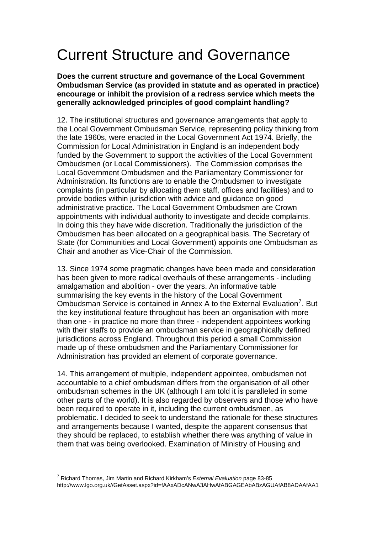# <span id="page-5-0"></span>Current Structure and Governance

#### **Does the current structure and governance of the Local Government Ombudsman Service (as provided in statute and as operated in practice) encourage or inhibit the provision of a redress service which meets the generally acknowledged principles of good complaint handling?**

12. The institutional structures and governance arrangements that apply to the Local Government Ombudsman Service, representing policy thinking from the late 1960s, were enacted in the Local Government Act 1974. Briefly, the Commission for Local Administration in England is an independent body funded by the Government to support the activities of the Local Government Ombudsmen (or Local Commissioners). The Commission comprises the Local Government Ombudsmen and the Parliamentary Commissioner for Administration. Its functions are to enable the Ombudsmen to investigate complaints (in particular by allocating them staff, offices and facilities) and to provide bodies within jurisdiction with advice and guidance on good administrative practice. The Local Government Ombudsmen are Crown appointments with individual authority to investigate and decide complaints. In doing this they have wide discretion. Traditionally the jurisdiction of the Ombudsmen has been allocated on a geographical basis. The Secretary of State (for Communities and Local Government) appoints one Ombudsman as Chair and another as Vice-Chair of the Commission.

13. Since 1974 some pragmatic changes have been made and consideration has been given to more radical overhauls of these arrangements - including amalgamation and abolition - over the years. An informative table summarising the key events in the history of the Local Government Ombudsman Service is contained in Annex A to the External Evaluation<sup>[7](#page-5-0)</sup>. But the key institutional feature throughout has been an organisation with more than one - in practice no more than three - independent appointees working with their staffs to provide an ombudsman service in geographically defined jurisdictions across England. Throughout this period a small Commission made up of these ombudsmen and the Parliamentary Commissioner for Administration has provided an element of corporate governance.

14. This arrangement of multiple, independent appointee, ombudsmen not accountable to a chief ombudsman differs from the organisation of all other ombudsman schemes in the UK (although I am told it is paralleled in some other parts of the world). It is also regarded by observers and those who have been required to operate in it, including the current ombudsmen, as problematic. I decided to seek to understand the rationale for these structures and arrangements because I wanted, despite the apparent consensus that they should be replaced, to establish whether there was anything of value in them that was being overlooked. Examination of Ministry of Housing and

<sup>7</sup> Richard Thomas, Jim Martin and Richard Kirkham's *External Evaluation* page 83-85 http://www.lgo.org.uk//GetAsset.aspx?id=fAAxADcANwA3AHwAfABGAGEAbABzAGUAfAB8ADAAfAA1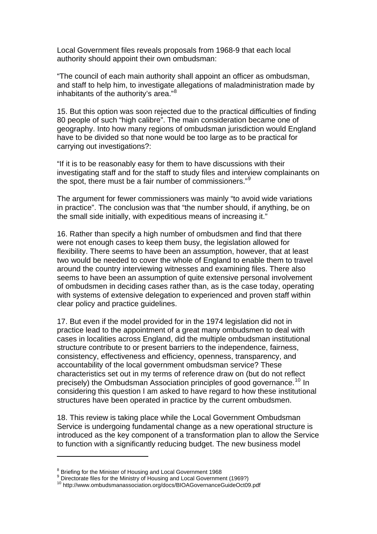<span id="page-6-0"></span>Local Government files reveals proposals from 1968-9 that each local authority should appoint their own ombudsman:

"The council of each main authority shall appoint an officer as ombudsman, and staff to help him, to investigate allegations of maladministration made by inhabitants of the authority's area."[8](#page-6-0)

15. But this option was soon rejected due to the practical difficulties of finding 80 people of such "high calibre". The main consideration became one of geography. Into how many regions of ombudsman jurisdiction would England have to be divided so that none would be too large as to be practical for carrying out investigations?:

"If it is to be reasonably easy for them to have discussions with their investigating staff and for the staff to study files and interview complainants on the spot, there must be a fair number of commissioners."<sup>[9](#page-6-0)</sup>

The argument for fewer commissioners was mainly "to avoid wide variations in practice". The conclusion was that "the number should, if anything, be on the small side initially, with expeditious means of increasing it."

16. Rather than specify a high number of ombudsmen and find that there were not enough cases to keep them busy, the legislation allowed for flexibility. There seems to have been an assumption, however, that at least two would be needed to cover the whole of England to enable them to travel around the country interviewing witnesses and examining files. There also seems to have been an assumption of quite extensive personal involvement of ombudsmen in deciding cases rather than, as is the case today, operating with systems of extensive delegation to experienced and proven staff within clear policy and practice guidelines.

17. But even if the model provided for in the 1974 legislation did not in practice lead to the appointment of a great many ombudsmen to deal with cases in localities across England, did the multiple ombudsman institutional structure contribute to or present barriers to the independence, fairness, consistency, effectiveness and efficiency, openness, transparency, and accountability of the local government ombudsman service? These characteristics set out in my terms of reference draw on (but do not reflect precisely) the Ombudsman Association principles of good governance.<sup>[10](#page-6-0)</sup> In considering this question I am asked to have regard to how these institutional structures have been operated in practice by the current ombudsmen.

18. This review is taking place while the Local Government Ombudsman Service is undergoing fundamental change as a new operational structure is introduced as the key component of a transformation plan to allow the Service to function with a significantly reducing budget. The new business model

<sup>&</sup>lt;sup>8</sup> Briefing for the Minister of Housing and Local Government 1968<br><sup>9</sup> Directorate files for the Ministry of Housing and Local Government (1969?)

<sup>10</sup> http://www.ombudsmanassociation.org/docs/BIOAGovernanceGuideOct09.pdf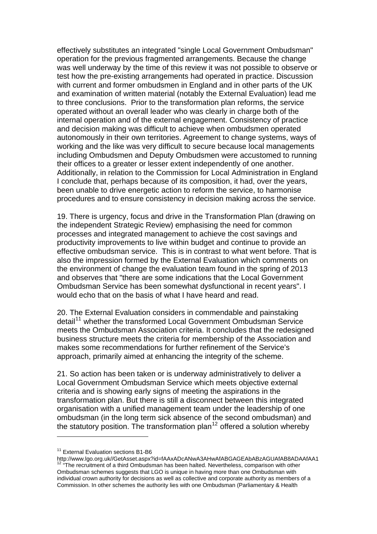<span id="page-7-0"></span>effectively substitutes an integrated "single Local Government Ombudsman" operation for the previous fragmented arrangements. Because the change was well underway by the time of this review it was not possible to observe or test how the pre-existing arrangements had operated in practice. Discussion with current and former ombudsmen in England and in other parts of the UK and examination of written material (notably the External Evaluation) lead me to three conclusions. Prior to the transformation plan reforms, the service operated without an overall leader who was clearly in charge both of the internal operation and of the external engagement. Consistency of practice and decision making was difficult to achieve when ombudsmen operated autonomously in their own territories. Agreement to change systems, ways of working and the like was very difficult to secure because local managements including Ombudsmen and Deputy Ombudsmen were accustomed to running their offices to a greater or lesser extent independently of one another. Additionally, in relation to the Commission for Local Administration in England I conclude that, perhaps because of its composition, it had, over the years, been unable to drive energetic action to reform the service, to harmonise procedures and to ensure consistency in decision making across the service.

19. There is urgency, focus and drive in the Transformation Plan (drawing on the independent Strategic Review) emphasising the need for common processes and integrated management to achieve the cost savings and productivity improvements to live within budget and continue to provide an effective ombudsman service. This is in contrast to what went before. That is also the impression formed by the External Evaluation which comments on the environment of change the evaluation team found in the spring of 2013 and observes that "there are some indications that the Local Government Ombudsman Service has been somewhat dysfunctional in recent years". I would echo that on the basis of what I have heard and read.

20. The External Evaluation considers in commendable and painstaking detail<sup>[11](#page-7-0)</sup> whether the transformed Local Government Ombudsman Service meets the Ombudsman Association criteria. It concludes that the redesigned business structure meets the criteria for membership of the Association and makes some recommendations for further refinement of the Service's approach, primarily aimed at enhancing the integrity of the scheme.

21. So action has been taken or is underway administratively to deliver a Local Government Ombudsman Service which meets objective external criteria and is showing early signs of meeting the aspirations in the transformation plan. But there is still a disconnect between this integrated organisation with a unified management team under the leadership of one ombudsman (in the long term sick absence of the second ombudsman) and the statutory position. The transformation plan<sup>[12](#page-7-0)</sup> offered a solution whereby

<sup>&</sup>lt;sup>11</sup> External Evaluation sections B1-B6<br>http://www.lgo.org.uk//GetAsset.aspx?id=fAAxADcANwA3AHwAfABGAGEAbABzAGUAfAB8ADAAfAA1 <sup>12</sup> "The recruitment of a third Ombudsman has been halted. Nevertheless, comparison with other Ombudsman schemes suggests that LGO is unique in having more than one Ombudsman with individual crown authority for decisions as well as collective and corporate authority as members of a Commission. In other schemes the authority lies with one Ombudsman (Parliamentary & Health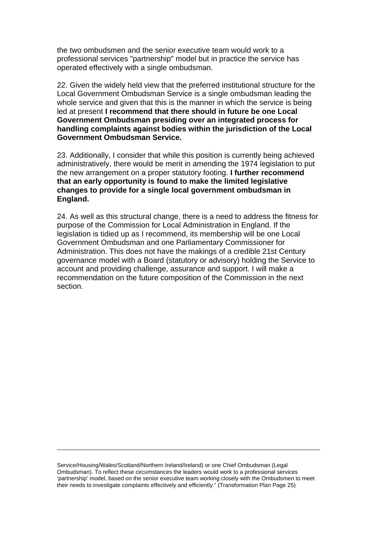the two ombudsmen and the senior executive team would work to a professional services "partnership" model but in practice the service has operated effectively with a single ombudsman.

22. Given the widely held view that the preferred institutional structure for the Local Government Ombudsman Service is a single ombudsman leading the whole service and given that this is the manner in which the service is being led at present **I recommend that there should in future be one Local Government Ombudsman presiding over an integrated process for handling complaints against bodies within the jurisdiction of the Local Government Ombudsman Service.**

23. Additionally, I consider that while this position is currently being achieved administratively, there would be merit in amending the 1974 legislation to put the new arrangement on a proper statutory footing. **I further recommend that an early opportunity is found to make the limited legislative changes to provide for a single local government ombudsman in England.**

24. As well as this structural change, there is a need to address the fitness for purpose of the Commission for Local Administration in England. If the legislation is tidied up as I recommend, its membership will be one Local Government Ombudsman and one Parliamentary Commissioner for Administration. This does not have the makings of a credible 21st Century governance model with a Board (statutory or advisory) holding the Service to account and providing challenge, assurance and support. I will make a recommendation on the future composition of the Commission in the next section.

Service/Housing/Wales/Scotland/Northern Ireland/Ireland) or one Chief Ombudsman (Legal Ombudsman). To reflect these circumstances the leaders would work to a professional services 'partnership' model, based on the senior executive team working closely with the Ombudsmen to meet their needs to investigate complaints effectively and efficiently." (Transformation Plan Page 25)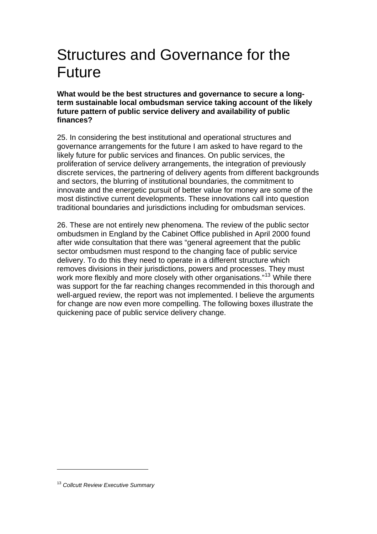## <span id="page-9-0"></span>Structures and Governance for the Future

**What would be the best structures and governance to secure a longterm sustainable local ombudsman service taking account of the likely future pattern of public service delivery and availability of public finances?** 

25. In considering the best institutional and operational structures and governance arrangements for the future I am asked to have regard to the likely future for public services and finances. On public services, the proliferation of service delivery arrangements, the integration of previously discrete services, the partnering of delivery agents from different backgrounds and sectors, the blurring of institutional boundaries, the commitment to innovate and the energetic pursuit of better value for money are some of the most distinctive current developments. These innovations call into question traditional boundaries and jurisdictions including for ombudsman services.

26. These are not entirely new phenomena. The review of the public sector ombudsmen in England by the Cabinet Office published in April 2000 found after wide consultation that there was "general agreement that the public sector ombudsmen must respond to the changing face of public service delivery. To do this they need to operate in a different structure which removes divisions in their jurisdictions, powers and processes. They must work more flexibly and more closely with other organisations."<sup>[13](#page-9-0)</sup> While there was support for the far reaching changes recommended in this thorough and well-argued review, the report was not implemented. I believe the arguments for change are now even more compelling. The following boxes illustrate the quickening pace of public service delivery change.

<sup>13</sup> *Collcutt Review Executive Summary*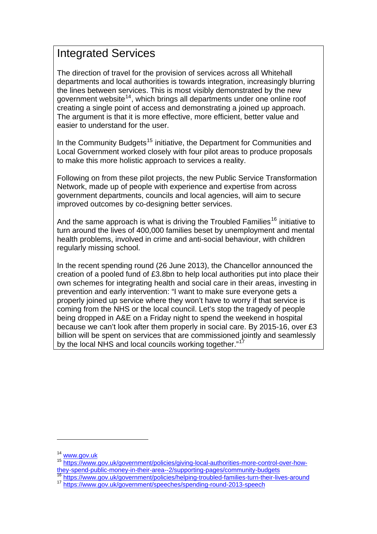## <span id="page-10-0"></span>Integrated Services

The direction of travel for the provision of services across all Whitehall departments and local authorities is towards integration, increasingly blurring the lines between services. This is most visibly demonstrated by the new government website<sup>[14](#page-10-0)</sup>, which brings all departments under one online roof creating a single point of access and demonstrating a joined up approach. The argument is that it is more effective, more efficient, better value and easier to understand for the user.

In the Community Budgets<sup>[15](#page-10-0)</sup> initiative, the Department for Communities and Local Government worked closely with four pilot areas to produce proposals to make this more holistic approach to services a reality.

Following on from these pilot projects, the new Public Service Transformation Network, made up of people with experience and expertise from across government departments, councils and local agencies, will aim to secure improved outcomes by co-designing better services.

And the same approach is what is driving the Troubled Families<sup>[16](#page-10-0)</sup> initiative to turn around the lives of 400,000 families beset by unemployment and mental health problems, involved in crime and anti-social behaviour, with children regularly missing school.

In the recent spending round (26 June 2013), the Chancellor announced the creation of a pooled fund of £3.8bn to help local authorities put into place their own schemes for integrating health and social care in their areas, investing in prevention and early intervention: "I want to make sure everyone gets a properly joined up service where they won't have to worry if that service is coming from the NHS or the local council. Let's stop the tragedy of people being dropped in A&E on a Friday night to spend the weekend in hospital because we can't look after them properly in social care. By 2015-16, over £3 billion will be spent on services that are commissioned jointly and seamlessly by the local NHS and local councils working together."<sup>1</sup>

<sup>&</sup>lt;sup>14</sup> [www.gov.uk](http://www.gov.uk/)<br><sup>15</sup> https://www.gov.uk/government/policies/giving-local-authorities-more-control-over-how-<br>thev-spend-public-money-in-their-area--2/supporting-pages/community-budgets

<https://www.gov.uk/government/policies/helping-troubled-families-turn-their-lives-around> <sup>17</sup> <https://www.gov.uk/government/speeches/spending-round-2013-speech>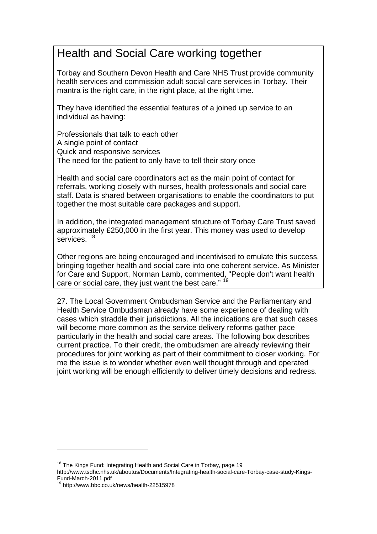## <span id="page-11-0"></span>Health and Social Care working together

Torbay and Southern Devon Health and Care NHS Trust provide community health services and commission adult social care services in Torbay. Their mantra is the right care, in the right place, at the right time.

They have identified the essential features of a joined up service to an individual as having:

Professionals that talk to each other A single point of contact Quick and responsive services The need for the patient to only have to tell their story once

Health and social care coordinators act as the main point of contact for referrals, working closely with nurses, health professionals and social care staff. Data is shared between organisations to enable the coordinators to put together the most suitable care packages and support.

In addition, the integrated management structure of Torbay Care Trust saved approximately £250,000 in the first year. This money was used to develop services.<sup>[18](#page-11-0)</sup>

Other regions are being encouraged and incentivised to emulate this success, bringing together health and social care into one coherent service. As Minister for Care and Support, Norman Lamb, commented, "People don't want health care or social care, they just want the best care." <sup>[19](#page-11-0)</sup>

27. The Local Government Ombudsman Service and the Parliamentary and Health Service Ombudsman already have some experience of dealing with cases which straddle their jurisdictions. All the indications are that such cases will become more common as the service delivery reforms gather pace particularly in the health and social care areas. The following box describes current practice. To their credit, the ombudsmen are already reviewing their procedures for joint working as part of their commitment to closer working. For me the issue is to wonder whether even well thought through and operated joint working will be enough efficiently to deliver timely decisions and redress.

<sup>&</sup>lt;sup>18</sup> The Kings Fund: Integrating Health and Social Care in Torbay, page 19

http://www.tsdhc.nhs.uk/aboutus/Documents/Integrating-health-social-care-Torbay-case-study-Kings-Fund-March-2011.pdf

<sup>19</sup> http://www.bbc.co.uk/news/health-22515978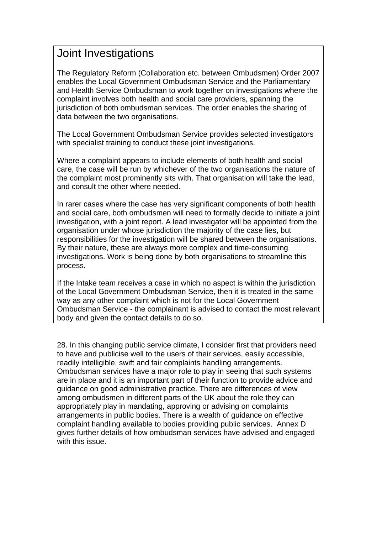## Joint Investigations

The Regulatory Reform (Collaboration etc. between Ombudsmen) Order 2007 enables the Local Government Ombudsman Service and the Parliamentary and Health Service Ombudsman to work together on investigations where the complaint involves both health and social care providers, spanning the jurisdiction of both ombudsman services. The order enables the sharing of data between the two organisations.

The Local Government Ombudsman Service provides selected investigators with specialist training to conduct these joint investigations.

Where a complaint appears to include elements of both health and social care, the case will be run by whichever of the two organisations the nature of the complaint most prominently sits with. That organisation will take the lead, and consult the other where needed.

In rarer cases where the case has very significant components of both health and social care, both ombudsmen will need to formally decide to initiate a joint investigation, with a joint report. A lead investigator will be appointed from the organisation under whose jurisdiction the majority of the case lies, but responsibilities for the investigation will be shared between the organisations. By their nature, these are always more complex and time-consuming investigations. Work is being done by both organisations to streamline this process.

If the Intake team receives a case in which no aspect is within the jurisdiction of the Local Government Ombudsman Service, then it is treated in the same way as any other complaint which is not for the Local Government Ombudsman Service - the complainant is advised to contact the most relevant body and given the contact details to do so.

28. In this changing public service climate, I consider first that providers need to have and publicise well to the users of their services, easily accessible, readily intelligible, swift and fair complaints handling arrangements. Ombudsman services have a major role to play in seeing that such systems are in place and it is an important part of their function to provide advice and guidance on good administrative practice. There are differences of view among ombudsmen in different parts of the UK about the role they can appropriately play in mandating, approving or advising on complaints arrangements in public bodies. There is a wealth of guidance on effective complaint handling available to bodies providing public services. Annex D gives further details of how ombudsman services have advised and engaged with this issue.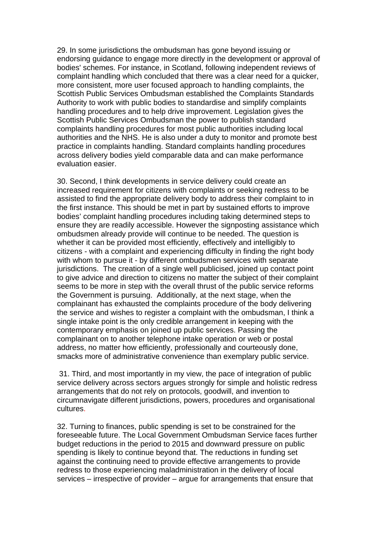29. In some jurisdictions the ombudsman has gone beyond issuing or endorsing guidance to engage more directly in the development or approval of bodies' schemes. For instance, in Scotland, following independent reviews of complaint handling which concluded that there was a clear need for a quicker, more consistent, more user focused approach to handling complaints, the Scottish Public Services Ombudsman established the Complaints Standards Authority to work with public bodies to standardise and simplify complaints handling procedures and to help drive improvement. Legislation gives the Scottish Public Services Ombudsman the power to publish standard complaints handling procedures for most public authorities including local authorities and the NHS. He is also under a duty to monitor and promote best practice in complaints handling. Standard complaints handling procedures across delivery bodies yield comparable data and can make performance evaluation easier.

30. Second, I think developments in service delivery could create an increased requirement for citizens with complaints or seeking redress to be assisted to find the appropriate delivery body to address their complaint to in the first instance. This should be met in part by sustained efforts to improve bodies' complaint handling procedures including taking determined steps to ensure they are readily accessible. However the signposting assistance which ombudsmen already provide will continue to be needed. The question is whether it can be provided most efficiently, effectively and intelligibly to citizens - with a complaint and experiencing difficulty in finding the right body with whom to pursue it - by different ombudsmen services with separate jurisdictions. The creation of a single well publicised, joined up contact point to give advice and direction to citizens no matter the subject of their complaint seems to be more in step with the overall thrust of the public service reforms the Government is pursuing. Additionally, at the next stage, when the complainant has exhausted the complaints procedure of the body delivering the service and wishes to register a complaint with the ombudsman, I think a single intake point is the only credible arrangement in keeping with the contemporary emphasis on joined up public services. Passing the complainant on to another telephone intake operation or web or postal address, no matter how efficiently, professionally and courteously done, smacks more of administrative convenience than exemplary public service.

 31. Third, and most importantly in my view, the pace of integration of public service delivery across sectors argues strongly for simple and holistic redress arrangements that do not rely on protocols, goodwill, and invention to circumnavigate different jurisdictions, powers, procedures and organisational cultures.

32. Turning to finances, public spending is set to be constrained for the foreseeable future. The Local Government Ombudsman Service faces further budget reductions in the period to 2015 and downward pressure on public spending is likely to continue beyond that. The reductions in funding set against the continuing need to provide effective arrangements to provide redress to those experiencing maladministration in the delivery of local services – irrespective of provider – argue for arrangements that ensure that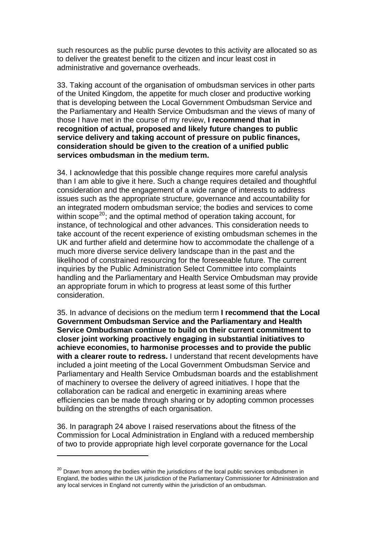<span id="page-14-0"></span>such resources as the public purse devotes to this activity are allocated so as to deliver the greatest benefit to the citizen and incur least cost in administrative and governance overheads.

33. Taking account of the organisation of ombudsman services in other parts of the United Kingdom, the appetite for much closer and productive working that is developing between the Local Government Ombudsman Service and the Parliamentary and Health Service Ombudsman and the views of many of those I have met in the course of my review, **I recommend that in recognition of actual, proposed and likely future changes to public service delivery and taking account of pressure on public finances, consideration should be given to the creation of a unified public services ombudsman in the medium term.**

34. I acknowledge that this possible change requires more careful analysis than I am able to give it here. Such a change requires detailed and thoughtful consideration and the engagement of a wide range of interests to address issues such as the appropriate structure, governance and accountability for an integrated modern ombudsman service; the bodies and services to come within scope<sup>[20](#page-14-0)</sup>; and the optimal method of operation taking account, for instance, of technological and other advances. This consideration needs to take account of the recent experience of existing ombudsman schemes in the UK and further afield and determine how to accommodate the challenge of a much more diverse service delivery landscape than in the past and the likelihood of constrained resourcing for the foreseeable future. The current inquiries by the Public Administration Select Committee into complaints handling and the Parliamentary and Health Service Ombudsman may provide an appropriate forum in which to progress at least some of this further consideration.

35. In advance of decisions on the medium term **I recommend that the Local Government Ombudsman Service and the Parliamentary and Health Service Ombudsman continue to build on their current commitment to closer joint working proactively engaging in substantial initiatives to achieve economies, to harmonise processes and to provide the public with a clearer route to redress.** I understand that recent developments have included a joint meeting of the Local Government Ombudsman Service and Parliamentary and Health Service Ombudsman boards and the establishment of machinery to oversee the delivery of agreed initiatives. I hope that the collaboration can be radical and energetic in examining areas where efficiencies can be made through sharing or by adopting common processes building on the strengths of each organisation.

36. In paragraph 24 above I raised reservations about the fitness of the Commission for Local Administration in England with a reduced membership of two to provide appropriate high level corporate governance for the Local

 $20$  Drawn from among the bodies within the jurisdictions of the local public services ombudsmen in England, the bodies within the UK jurisdiction of the Parliamentary Commissioner for Administration and any local services in England not currently within the jurisdiction of an ombudsman.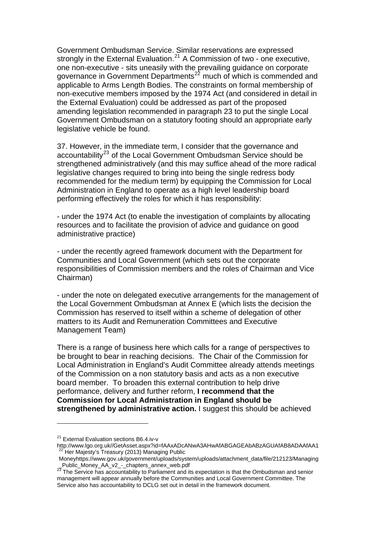<span id="page-15-0"></span>Government Ombudsman Service. Similar reservations are expressed strongly in the External Evaluation.<sup>[21](#page-15-0)</sup> A Commission of two - one executive, one non-executive - sits uneasily with the prevailing guidance on corporate governance in Government Departments<sup>[22](#page-15-0)</sup> much of which is commended and applicable to Arms Length Bodies. The constraints on formal membership of non-executive members imposed by the 1974 Act (and considered in detail in the External Evaluation) could be addressed as part of the proposed amending legislation recommended in paragraph 23 to put the single Local Government Ombudsman on a statutory footing should an appropriate early legislative vehicle be found.

37. However, in the immediate term, I consider that the governance and accountability<sup>[23](#page-15-0)</sup> of the Local Government Ombudsman Service should be strengthened administratively (and this may suffice ahead of the more radical legislative changes required to bring into being the single redress body recommended for the medium term) by equipping the Commission for Local Administration in England to operate as a high level leadership board performing effectively the roles for which it has responsibility:

- under the 1974 Act (to enable the investigation of complaints by allocating resources and to facilitate the provision of advice and guidance on good administrative practice)

- under the recently agreed framework document with the Department for Communities and Local Government (which sets out the corporate responsibilities of Commission members and the roles of Chairman and Vice Chairman)

- under the note on delegated executive arrangements for the management of the Local Government Ombudsman at Annex E (which lists the decision the Commission has reserved to itself within a scheme of delegation of other matters to its Audit and Remuneration Committees and Executive Management Team)

There is a range of business here which calls for a range of perspectives to be brought to bear in reaching decisions. The Chair of the Commission for Local Administration in England's Audit Committee already attends meetings of the Commission on a non statutory basis and acts as a non executive board member. To broaden this external contribution to help drive performance, delivery and further reform, **I recommend that the Commission for Local Administration in England should be strengthened by administrative action.** I suggest this should be achieved

<sup>21</sup> External Evaluation sections B6.4.iv-v

http://www.lgo.org.uk//GetAsset.aspx?id=fAAxADcANwA3AHwAfABGAGEAbABzAGUAfAB8ADAAfAA1<br><sup>22</sup> Her Majesty's Treasury (2013) Managing Public

Moneyhttps://www.gov.uk/government/uploads/system/uploads/attachment\_data/file/212123/Managing \_Public\_Money\_AA\_v2\_-\_chapters\_annex\_web.pdf

 $^{23}$  The Service has accountability to Parliament and its expectation is that the Ombudsman and senior management will appear annually before the Communities and Local Government Committee. The Service also has accountability to DCLG set out in detail in the framework document.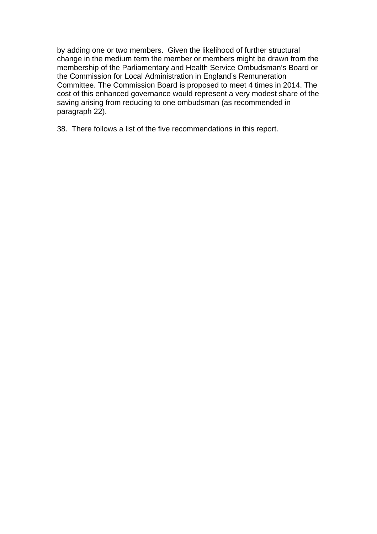by adding one or two members. Given the likelihood of further structural change in the medium term the member or members might be drawn from the membership of the Parliamentary and Health Service Ombudsman's Board or the Commission for Local Administration in England's Remuneration Committee. The Commission Board is proposed to meet 4 times in 2014. The cost of this enhanced governance would represent a very modest share of the saving arising from reducing to one ombudsman (as recommended in paragraph 22).

38. There follows a list of the five recommendations in this report.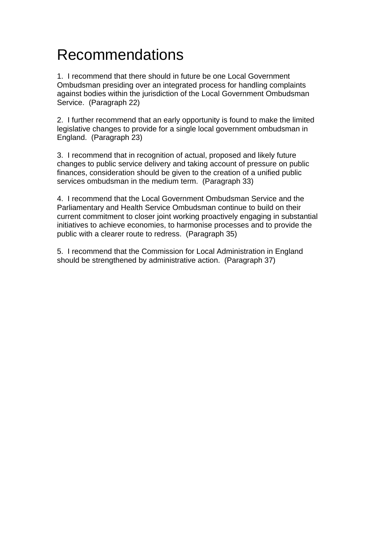# Recommendations

1. I recommend that there should in future be one Local Government Ombudsman presiding over an integrated process for handling complaints against bodies within the jurisdiction of the Local Government Ombudsman Service. (Paragraph 22)

2. I further recommend that an early opportunity is found to make the limited legislative changes to provide for a single local government ombudsman in England. (Paragraph 23)

3. I recommend that in recognition of actual, proposed and likely future changes to public service delivery and taking account of pressure on public finances, consideration should be given to the creation of a unified public services ombudsman in the medium term. (Paragraph 33)

4. I recommend that the Local Government Ombudsman Service and the Parliamentary and Health Service Ombudsman continue to build on their current commitment to closer joint working proactively engaging in substantial initiatives to achieve economies, to harmonise processes and to provide the public with a clearer route to redress. (Paragraph 35)

5. I recommend that the Commission for Local Administration in England should be strengthened by administrative action. (Paragraph 37)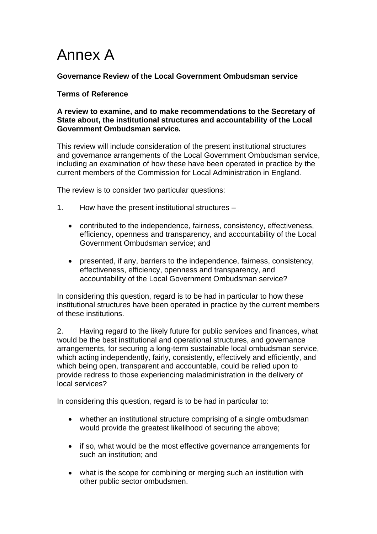# Annex A

**Governance Review of the Local Government Ombudsman service** 

### **Terms of Reference**

#### **A review to examine, and to make recommendations to the Secretary of State about, the institutional structures and accountability of the Local Government Ombudsman service.**

This review will include consideration of the present institutional structures and governance arrangements of the Local Government Ombudsman service, including an examination of how these have been operated in practice by the current members of the Commission for Local Administration in England.

The review is to consider two particular questions:

- 1. How have the present institutional structures
	- contributed to the independence, fairness, consistency, effectiveness, efficiency, openness and transparency, and accountability of the Local Government Ombudsman service; and
	- presented, if any, barriers to the independence, fairness, consistency, effectiveness, efficiency, openness and transparency, and accountability of the Local Government Ombudsman service?

In considering this question, regard is to be had in particular to how these institutional structures have been operated in practice by the current members of these institutions.

2. Having regard to the likely future for public services and finances, what would be the best institutional and operational structures, and governance arrangements, for securing a long-term sustainable local ombudsman service, which acting independently, fairly, consistently, effectively and efficiently, and which being open, transparent and accountable, could be relied upon to provide redress to those experiencing maladministration in the delivery of local services?

In considering this question, regard is to be had in particular to:

- whether an institutional structure comprising of a single ombudsman would provide the greatest likelihood of securing the above;
- if so, what would be the most effective governance arrangements for such an institution; and
- what is the scope for combining or merging such an institution with other public sector ombudsmen.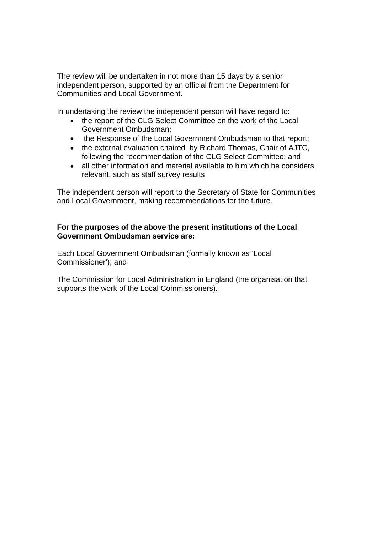The review will be undertaken in not more than 15 days by a senior independent person, supported by an official from the Department for Communities and Local Government.

In undertaking the review the independent person will have regard to:

- the report of the CLG Select Committee on the work of the Local Government Ombudsman;
- the Response of the Local Government Ombudsman to that report;
- the external evaluation chaired by Richard Thomas, Chair of AJTC, following the recommendation of the CLG Select Committee; and
- all other information and material available to him which he considers relevant, such as staff survey results

The independent person will report to the Secretary of State for Communities and Local Government, making recommendations for the future.

### **For the purposes of the above the present institutions of the Local Government Ombudsman service are:**

Each Local Government Ombudsman (formally known as 'Local Commissioner'); and

The Commission for Local Administration in England (the organisation that supports the work of the Local Commissioners).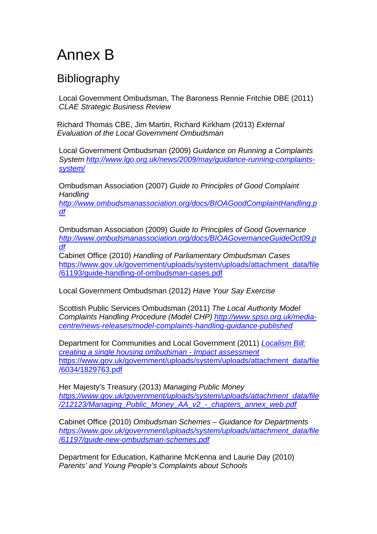# Annex B

## **Bibliography**

Local Government Ombudsman, The Baroness Rennie Fritchie DBE (2011) *CLAE Strategic Business Review* 

Richard Thomas CBE, Jim Martin, Richard Kirkham (2013) *External Evaluation of the Local Government Ombudsman* 

Local Government Ombudsman (2009) *Guidance on Running a Complaints System [http://www.lgo.org.uk/news/2009/may/guidance-running-complaints](http://www.lgo.org.uk/news/2009/may/guidance-running-complaints-system/)[system/](http://www.lgo.org.uk/news/2009/may/guidance-running-complaints-system/)*

Ombudsman Association (2007) *Guide to Principles of Good Complaint Handling* 

*[http://www.ombudsmanassociation.org/docs/BIOAGoodComplaintHandling.p](http://www.ombudsmanassociation.org/docs/BIOAGoodComplaintHandling.pdf) [df](http://www.ombudsmanassociation.org/docs/BIOAGoodComplaintHandling.pdf)*

Ombudsman Association (2009) *Guide to Principles of Good Governance [http://www.ombudsmanassociation.org/docs/BIOAGovernanceGuideOct09.p](http://www.ombudsmanassociation.org/docs/BIOAGovernanceGuideOct09.pdf) [df](http://www.ombudsmanassociation.org/docs/BIOAGovernanceGuideOct09.pdf)*

Cabinet Office (2010) *Handling of Parliamentary Ombudsman Cases* [https://www.gov.uk/government/uploads/system/uploads/attachment\\_data/file](https://www.gov.uk/government/uploads/system/uploads/attachment_data/file/61193/guide-handling-of-ombudsman-cases.pdf) [/61193/guide-handling-of-ombudsman-cases.pdf](https://www.gov.uk/government/uploads/system/uploads/attachment_data/file/61193/guide-handling-of-ombudsman-cases.pdf)

Local Government Ombudsman (2012) *Have Your Say Exercise* 

Scottish Public Services Ombudsman (2011) *The Local Authority Model Complaints Handling Procedure (Model CHP) [http://www.spso.org.uk/media](http://www.spso.org.uk/media-centre/news-releases/model-complaints-handling-guidance-published)[centre/news-releases/model-complaints-handling-guidance-published](http://www.spso.org.uk/media-centre/news-releases/model-complaints-handling-guidance-published)*

Department for Communities and Local Government (2011) *[Localism Bill:](https://www.gov.uk/government/uploads/system/uploads/attachment_data/file/6034/1829763.pdf)  [creating a single housing ombudsman - Impact assessment](https://www.gov.uk/government/uploads/system/uploads/attachment_data/file/6034/1829763.pdf)* [https://www.gov.uk/government/uploads/system/uploads/attachment\\_data/file](https://www.gov.uk/government/uploads/system/uploads/attachment_data/file/6034/1829763.pdf) [/6034/1829763.pdf](https://www.gov.uk/government/uploads/system/uploads/attachment_data/file/6034/1829763.pdf)

Her Majesty's Treasury (2013) *Managing Public Money [https://www.gov.uk/government/uploads/system/uploads/attachment\\_data/file](https://www.gov.uk/government/uploads/system/uploads/attachment_data/file/212123/Managing_Public_Money_AA_v2_-_chapters_annex_web.pdf) [/212123/Managing\\_Public\\_Money\\_AA\\_v2\\_-\\_chapters\\_annex\\_web.pdf](https://www.gov.uk/government/uploads/system/uploads/attachment_data/file/212123/Managing_Public_Money_AA_v2_-_chapters_annex_web.pdf)*

Cabinet Office (2010) *Ombudsman Schemes – Guidance for Departments [https://www.gov.uk/government/uploads/system/uploads/attachment\\_data/file](https://www.gov.uk/government/uploads/system/uploads/attachment_data/file/61197/guide-new-ombudsman-schemes.pdf) [/61197/guide-new-ombudsman-schemes.pdf](https://www.gov.uk/government/uploads/system/uploads/attachment_data/file/61197/guide-new-ombudsman-schemes.pdf)*

Department for Education, Katharine McKenna and Laurie Day (2010) *Parents' and Young People's Complaints about Schools*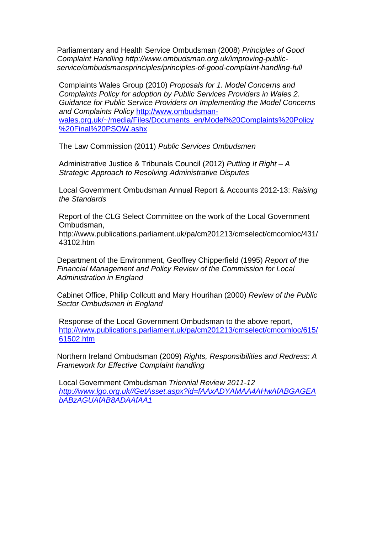Parliamentary and Health Service Ombudsman (2008) *Principles of Good Complaint Handling http://www.ombudsman.org.uk/improving-publicservice/ombudsmansprinciples/principles-of-good-complaint-handling-full* 

Complaints Wales Group (2010) *Proposals for 1. Model Concerns and Complaints Policy for adoption by Public Services Providers in Wales 2. Guidance for Public Service Providers on Implementing the Model Concerns and Complaints Policy* [http://www.ombudsman](http://www.ombudsman-wales.org.uk/%7E/media/Files/Documents_en/Model%20Complaints%20Policy%20Final%20PSOW.ashx)[wales.org.uk/~/media/Files/Documents\\_en/Model%20Complaints%20Policy](http://www.ombudsman-wales.org.uk/%7E/media/Files/Documents_en/Model%20Complaints%20Policy%20Final%20PSOW.ashx) [%20Final%20PSOW.ashx](http://www.ombudsman-wales.org.uk/%7E/media/Files/Documents_en/Model%20Complaints%20Policy%20Final%20PSOW.ashx)

The Law Commission (2011) *Public Services Ombudsmen* 

Administrative Justice & Tribunals Council (2012) *Putting It Right – A Strategic Approach to Resolving Administrative Disputes* 

Local Government Ombudsman Annual Report & Accounts 2012-13: *Raising the Standards* 

Report of the CLG Select Committee on the work of the Local Government Ombudsman,

http://www.publications.parliament.uk/pa/cm201213/cmselect/cmcomloc/431/ 43102.htm

Department of the Environment, Geoffrey Chipperfield (1995) *Report of the Financial Management and Policy Review of the Commission for Local Administration in England* 

Cabinet Office, Philip Collcutt and Mary Hourihan (2000) *Review of the Public Sector Ombudsmen in England* 

Response of the Local Government Ombudsman to the above report, [http://www.publications.parliament.uk/pa/cm201213/cmselect/cmcomloc/615/](http://www.publications.parliament.uk/pa/cm201213/cmselect/cmcomloc/615/61502.htm) [61502.htm](http://www.publications.parliament.uk/pa/cm201213/cmselect/cmcomloc/615/61502.htm)

Northern Ireland Ombudsman (2009) *Rights, Responsibilities and Redress: A Framework for Effective Complaint handling* 

Local Government Ombudsman *Triennial Review 2011-12 [http://www.lgo.org.uk//GetAsset.aspx?id=fAAxADYAMAA4AHwAfABGAGEA](http://www.lgo.org.uk//GetAsset.aspx?id=fAAxADYAMAA4AHwAfABGAGEAbABzAGUAfAB8ADAAfAA1) [bABzAGUAfAB8ADAAfAA1](http://www.lgo.org.uk//GetAsset.aspx?id=fAAxADYAMAA4AHwAfABGAGEAbABzAGUAfAB8ADAAfAA1)*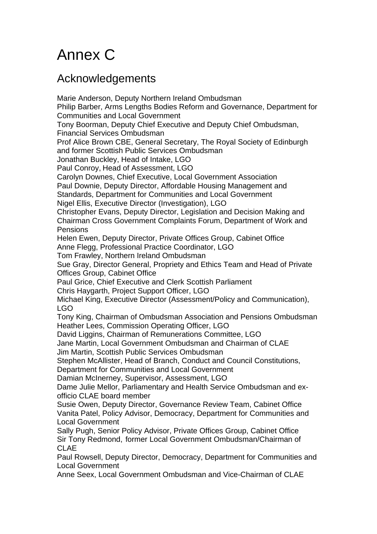# Annex C

## Acknowledgements

Marie Anderson, Deputy Northern Ireland Ombudsman Philip Barber, Arms Lengths Bodies Reform and Governance, Department for Communities and Local Government Tony Boorman, Deputy Chief Executive and Deputy Chief Ombudsman, Financial Services Ombudsman Prof Alice Brown CBE, General Secretary, The Royal Society of Edinburgh and former Scottish Public Services Ombudsman Jonathan Buckley, Head of Intake, LGO Paul Conroy, Head of Assessment, LGO Carolyn Downes, Chief Executive, Local Government Association Paul Downie, Deputy Director, Affordable Housing Management and Standards, Department for Communities and Local Government Nigel Ellis, Executive Director (Investigation), LGO Christopher Evans, Deputy Director, Legislation and Decision Making and Chairman Cross Government Complaints Forum, Department of Work and Pensions Helen Ewen, Deputy Director, Private Offices Group, Cabinet Office Anne Flegg, Professional Practice Coordinator, LGO Tom Frawley, Northern Ireland Ombudsman Sue Gray, Director General, Propriety and Ethics Team and Head of Private Offices Group, Cabinet Office Paul Grice, Chief Executive and Clerk Scottish Parliament Chris Haygarth, Project Support Officer, LGO Michael King, Executive Director (Assessment/Policy and Communication), LGO Tony King, Chairman of Ombudsman Association and Pensions Ombudsman Heather Lees, Commission Operating Officer, LGO David Liggins, Chairman of Remunerations Committee, LGO Jane Martin, Local Government Ombudsman and Chairman of CLAE Jim Martin, Scottish Public Services Ombudsman Stephen McAllister, Head of Branch, Conduct and Council Constitutions, Department for Communities and Local Government Damian McInerney, Supervisor, Assessment, LGO Dame Julie Mellor, Parliamentary and Health Service Ombudsman and exofficio CLAE board member Susie Owen, Deputy Director, Governance Review Team, Cabinet Office Vanita Patel, Policy Advisor, Democracy, Department for Communities and Local Government Sally Pugh, Senior Policy Advisor, Private Offices Group, Cabinet Office Sir Tony Redmond, former Local Government Ombudsman/Chairman of CLAE Paul Rowsell, Deputy Director, Democracy, Department for Communities and Local Government Anne Seex, Local Government Ombudsman and Vice-Chairman of CLAE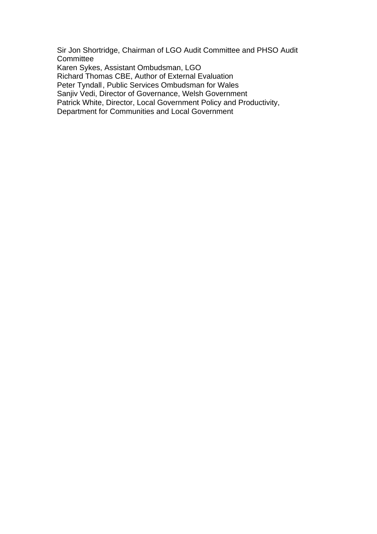Sir Jon Shortridge, Chairman of LGO Audit Committee and PHSO Audit **Committee** Karen Sykes, Assistant Ombudsman, LGO Richard Thomas CBE, Author of External Evaluation Peter Tyndall , Public Services Ombudsman for Wales Sanjiv Vedi, Director of Governance, Welsh Government Patrick White, Director, Local Government Policy and Productivity, Department for Communities and Local Government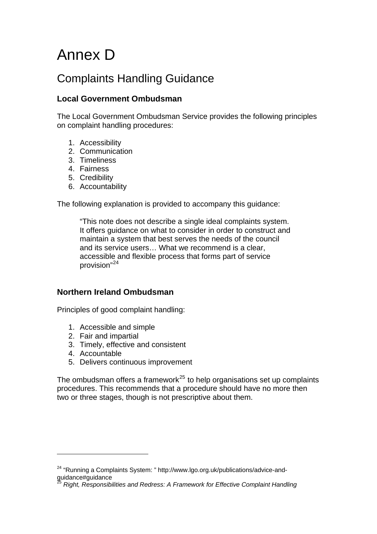# <span id="page-24-0"></span>Annex D

## Complaints Handling Guidance

### **Local Government Ombudsman**

The Local Government Ombudsman Service provides the following principles on complaint handling procedures:

- 1. Accessibility
- 2. Communication
- 3. Timeliness
- 4. Fairness
- 5. Credibility
- 6. Accountability

The following explanation is provided to accompany this guidance:

"This note does not describe a single ideal complaints system. It offers guidance on what to consider in order to construct and maintain a system that best serves the needs of the council and its service users… What we recommend is a clear, accessible and flexible process that forms part of service provision"[24](#page-24-0)

### **Northern Ireland Ombudsman**

Principles of good complaint handling:

- 1. Accessible and simple
- 2. Fair and impartial
- 3. Timely, effective and consistent
- 4. Accountable

 $\overline{a}$ 

5. Delivers continuous improvement

The ombudsman offers a framework $^{25}$  $^{25}$  $^{25}$  to help organisations set up complaints procedures. This recommends that a procedure should have no more then two or three stages, though is not prescriptive about them.

<sup>&</sup>lt;sup>24</sup> "Running a Complaints System: " http://www.lgo.org.uk/publications/advice-andguidance#guidance

<sup>25</sup> *Right, Responsibilities and Redress: A Framework for Effective Complaint Handling*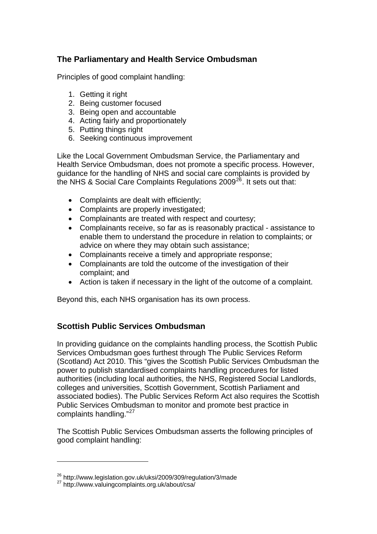### <span id="page-25-0"></span>**The Parliamentary and Health Service Ombudsman**

Principles of good complaint handling:

- 1. Getting it right
- 2. Being customer focused
- 3. Being open and accountable
- 4. Acting fairly and proportionately
- 5. Putting things right
- 6. Seeking continuous improvement

Like the Local Government Ombudsman Service, the Parliamentary and Health Service Ombudsman, does not promote a specific process. However, guidance for the handling of NHS and social care complaints is provided by the NHS & Social Care Complaints Regulations 2009<sup>[26](#page-25-0)</sup>. It sets out that:

- Complaints are dealt with efficiently;
- Complaints are properly investigated;
- Complainants are treated with respect and courtesy;
- Complainants receive, so far as is reasonably practical assistance to enable them to understand the procedure in relation to complaints; or advice on where they may obtain such assistance;
- Complainants receive a timely and appropriate response;
- Complainants are told the outcome of the investigation of their complaint; and
- Action is taken if necessary in the light of the outcome of a complaint.

Beyond this, each NHS organisation has its own process.

### **Scottish Public Services Ombudsman**

In providing guidance on the complaints handling process, the Scottish Public Services Ombudsman goes furthest through The Public Services Reform (Scotland) Act 2010. This "gives the Scottish Public Services Ombudsman the power to publish standardised complaints handling procedures for listed authorities (including local authorities, the NHS, Registered Social Landlords, colleges and universities, Scottish Government, Scottish Parliament and associated bodies). The Public Services Reform Act also requires the Scottish Public Services Ombudsman to monitor and promote best practice in complaints handling."[27](#page-25-0)

The Scottish Public Services Ombudsman asserts the following principles of good complaint handling:

 $^{26}$  http://www.legislation.gov.uk/uksi/2009/309/regulation/3/made  $^{27}$  http://www.valuingcomplaints.org.uk/about/csa/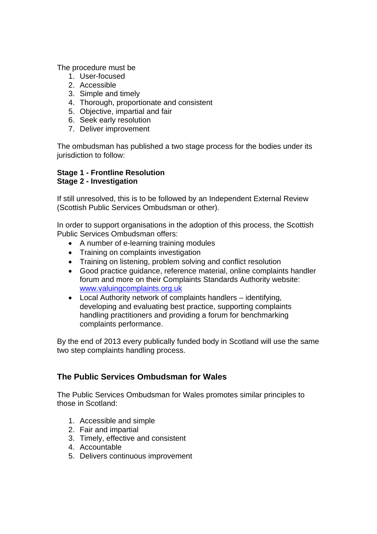The procedure must be

- 1. User-focused
- 2. Accessible
- 3. Simple and timely
- 4. Thorough, proportionate and consistent
- 5. Objective, impartial and fair
- 6. Seek early resolution
- 7. Deliver improvement

The ombudsman has published a two stage process for the bodies under its jurisdiction to follow:

#### **Stage 1 - Frontline Resolution Stage 2 - Investigation**

If still unresolved, this is to be followed by an Independent External Review (Scottish Public Services Ombudsman or other).

In order to support organisations in the adoption of this process, the Scottish Public Services Ombudsman offers:

- A number of e-learning training modules
- Training on complaints investigation
- Training on listening, problem solving and conflict resolution
- Good practice guidance, reference material, online complaints handler forum and more on their Complaints Standards Authority website: [www.valuingcomplaints.org.uk](http://www.valuingcomplaints.org.uk/)
- Local Authority network of complaints handlers identifying, developing and evaluating best practice, supporting complaints handling practitioners and providing a forum for benchmarking complaints performance.

By the end of 2013 every publically funded body in Scotland will use the same two step complaints handling process.

### **The Public Services Ombudsman for Wales**

The Public Services Ombudsman for Wales promotes similar principles to those in Scotland:

- 1. Accessible and simple
- 2. Fair and impartial
- 3. Timely, effective and consistent
- 4. Accountable
- 5. Delivers continuous improvement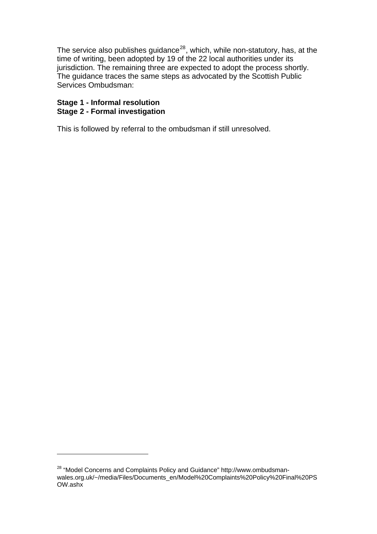<span id="page-27-0"></span>The service also publishes guidance $^{28}$  $^{28}$  $^{28}$ , which, while non-statutory, has, at the time of writing, been adopted by 19 of the 22 local authorities under its jurisdiction. The remaining three are expected to adopt the process shortly. The guidance traces the same steps as advocated by the Scottish Public Services Ombudsman:

### **Stage 1 - Informal resolution Stage 2 - Formal investigation**

 $\overline{a}$ 

This is followed by referral to the ombudsman if still unresolved.

<sup>&</sup>lt;sup>28</sup> "Model Concerns and Complaints Policy and Guidance" http://www.ombudsmanwales.org.uk/~/media/Files/Documents\_en/Model%20Complaints%20Policy%20Final%20PS OW.ashx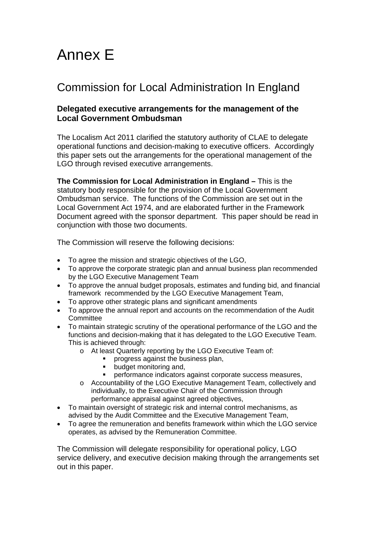# Annex E

## Commission for Local Administration In England

### **Delegated executive arrangements for the management of the Local Government Ombudsman**

The Localism Act 2011 clarified the statutory authority of CLAE to delegate operational functions and decision-making to executive officers. Accordingly this paper sets out the arrangements for the operational management of the LGO through revised executive arrangements.

**The Commission for Local Administration in England – This is the** statutory body responsible for the provision of the Local Government Ombudsman service. The functions of the Commission are set out in the Local Government Act 1974, and are elaborated further in the Framework Document agreed with the sponsor department. This paper should be read in conjunction with those two documents.

The Commission will reserve the following decisions:

- To agree the mission and strategic objectives of the LGO,
- To approve the corporate strategic plan and annual business plan recommended by the LGO Executive Management Team
- To approve the annual budget proposals, estimates and funding bid, and financial framework recommended by the LGO Executive Management Team,
- To approve other strategic plans and significant amendments
- To approve the annual report and accounts on the recommendation of the Audit **Committee**
- To maintain strategic scrutiny of the operational performance of the LGO and the functions and decision-making that it has delegated to the LGO Executive Team. This is achieved through:
	- o At least Quarterly reporting by the LGO Executive Team of:
		- progress against the business plan,
		- budget monitoring and,<br>• performance indicators
		- performance indicators against corporate success measures,
	- o Accountability of the LGO Executive Management Team, collectively and individually, to the Executive Chair of the Commission through performance appraisal against agreed objectives,
- To maintain oversight of strategic risk and internal control mechanisms, as advised by the Audit Committee and the Executive Management Team,
- To agree the remuneration and benefits framework within which the LGO service operates, as advised by the Remuneration Committee.

The Commission will delegate responsibility for operational policy, LGO service delivery, and executive decision making through the arrangements set out in this paper.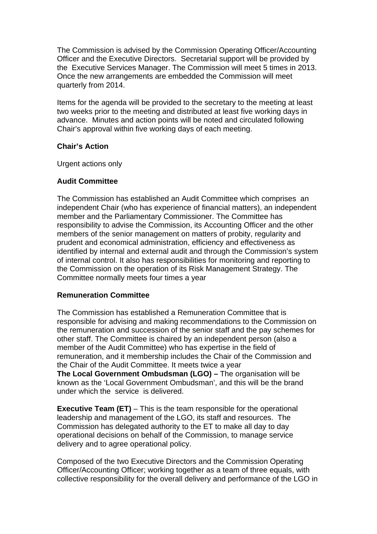The Commission is advised by the Commission Operating Officer/Accounting Officer and the Executive Directors. Secretarial support will be provided by the Executive Services Manager. The Commission will meet 5 times in 2013. Once the new arrangements are embedded the Commission will meet quarterly from 2014.

Items for the agenda will be provided to the secretary to the meeting at least two weeks prior to the meeting and distributed at least five working days in advance. Minutes and action points will be noted and circulated following Chair's approval within five working days of each meeting.

### **Chair's Action**

Urgent actions only

#### **Audit Committee**

The Commission has established an Audit Committee which comprises an independent Chair (who has experience of financial matters), an independent member and the Parliamentary Commissioner. The Committee has responsibility to advise the Commission, its Accounting Officer and the other members of the senior management on matters of probity, regularity and prudent and economical administration, efficiency and effectiveness as identified by internal and external audit and through the Commission's system of internal control. It also has responsibilities for monitoring and reporting to the Commission on the operation of its Risk Management Strategy. The Committee normally meets four times a year

#### **Remuneration Committee**

The Commission has established a Remuneration Committee that is responsible for advising and making recommendations to the Commission on the remuneration and succession of the senior staff and the pay schemes for other staff. The Committee is chaired by an independent person (also a member of the Audit Committee) who has expertise in the field of remuneration, and it membership includes the Chair of the Commission and the Chair of the Audit Committee. It meets twice a year **The Local Government Ombudsman (LGO) – The organisation will be** 

known as the 'Local Government Ombudsman', and this will be the brand under which the service is delivered.

**Executive Team (ET)** – This is the team responsible for the operational leadership and management of the LGO, its staff and resources. The Commission has delegated authority to the ET to make all day to day operational decisions on behalf of the Commission, to manage service delivery and to agree operational policy.

Composed of the two Executive Directors and the Commission Operating Officer/Accounting Officer; working together as a team of three equals, with collective responsibility for the overall delivery and performance of the LGO in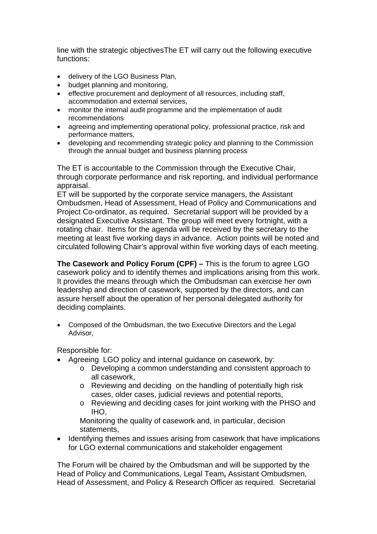line with the strategic objectivesThe ET will carry out the following executive functions:

- delivery of the LGO Business Plan,
- budget planning and monitoring,
- effective procurement and deployment of all resources, including staff, accommodation and external services,
- monitor the internal audit programme and the implementation of audit recommendations
- agreeing and implementing operational policy, professional practice, risk and performance matters,
- developing and recommending strategic policy and planning to the Commission through the annual budget and business planning process

The ET is accountable to the Commission through the Executive Chair, through corporate performance and risk reporting, and individual performance appraisal.

ET will be supported by the corporate service managers, the Assistant Ombudsmen, Head of Assessment, Head of Policy and Communications and Project Co-ordinator, as required. Secretarial support will be provided by a designated Executive Assistant. The group will meet every fortnight, with a rotating chair. Items for the agenda will be received by the secretary to the meeting at least five working days in advance. Action points will be noted and circulated following Chair's approval within five working days of each meeting.

**The Casework and Policy Forum (CPF) –** This is the forum to agree LGO casework policy and to identify themes and implications arising from this work. It provides the means through which the Ombudsman can exercise her own leadership and direction of casework, supported by the directors, and can assure herself about the operation of her personal delegated authority for deciding complaints.

• Composed of the Ombudsman, the two Executive Directors and the Legal Advisor,

Responsible for:

- Agreeing LGO policy and internal guidance on casework, by:
	- o Developing a common understanding and consistent approach to all casework,
	- o Reviewing and deciding on the handling of potentially high risk cases, older cases, judicial reviews and potential reports,
	- o Reviewing and deciding cases for joint working with the PHSO and IHO,

Monitoring the quality of casework and, in particular, decision statements,

• Identifying themes and issues arising from casework that have implications for LGO external communications and stakeholder engagement

The Forum will be chaired by the Ombudsman and will be supported by the Head of Policy and Communications, Legal Team**,** Assistant Ombudsmen, Head of Assessment, and Policy & Research Officer as required. Secretarial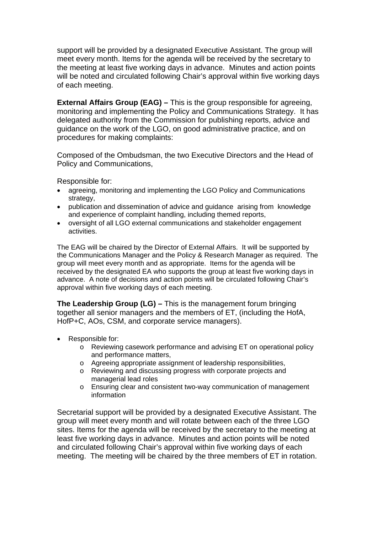support will be provided by a designated Executive Assistant. The group will meet every month. Items for the agenda will be received by the secretary to the meeting at least five working days in advance. Minutes and action points will be noted and circulated following Chair's approval within five working days of each meeting.

**External Affairs Group (EAG) –** This is the group responsible for agreeing, monitoring and implementing the Policy and Communications Strategy. It has delegated authority from the Commission for publishing reports, advice and guidance on the work of the LGO, on good administrative practice, and on procedures for making complaints:

Composed of the Ombudsman, the two Executive Directors and the Head of Policy and Communications,

Responsible for:

- agreeing, monitoring and implementing the LGO Policy and Communications strategy,
- publication and dissemination of advice and guidance arising from knowledge and experience of complaint handling, including themed reports,
- oversight of all LGO external communications and stakeholder engagement activities.

The EAG will be chaired by the Director of External Affairs. It will be supported by the Communications Manager and the Policy & Research Manager as required. The group will meet every month and as appropriate. Items for the agenda will be received by the designated EA who supports the group at least five working days in advance. A note of decisions and action points will be circulated following Chair's approval within five working days of each meeting.

**The Leadership Group (LG) –** This is the management forum bringing together all senior managers and the members of ET, (including the HofA, HofP+C, AOs, CSM, and corporate service managers).

- Responsible for:
	- o Reviewing casework performance and advising ET on operational policy and performance matters,
	- o Agreeing appropriate assignment of leadership responsibilities,
	- o Reviewing and discussing progress with corporate projects and managerial lead roles
	- o Ensuring clear and consistent two-way communication of management information

Secretarial support will be provided by a designated Executive Assistant. The group will meet every month and will rotate between each of the three LGO sites. Items for the agenda will be received by the secretary to the meeting at least five working days in advance. Minutes and action points will be noted and circulated following Chair's approval within five working days of each meeting. The meeting will be chaired by the three members of ET in rotation.